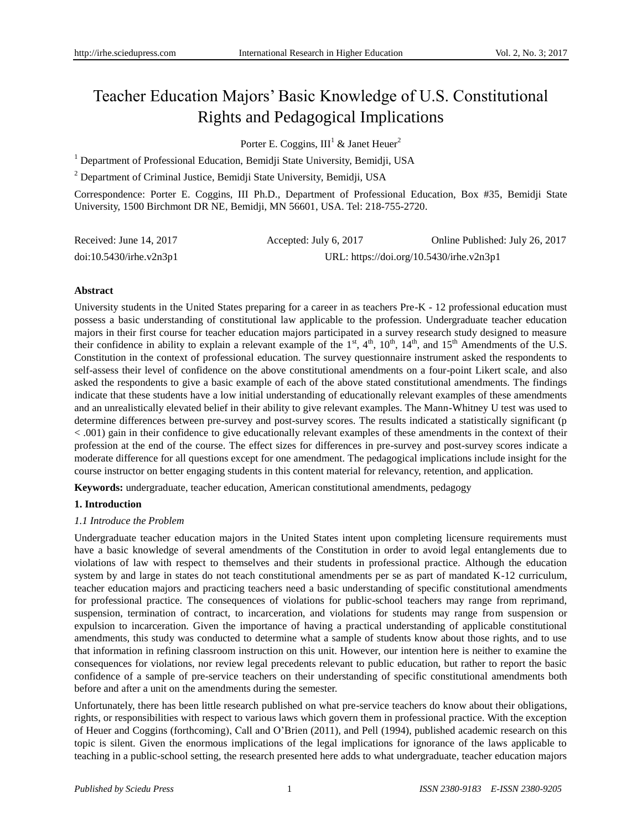# Teacher Education Majors' Basic Knowledge of U.S. Constitutional Rights and Pedagogical Implications

Porter E. Coggins,  $III<sup>1</sup>$  & Janet Heuer<sup>2</sup>

<sup>1</sup> Department of Professional Education, Bemidji State University, Bemidji, USA

<sup>2</sup> Department of Criminal Justice, Bemidii State University, Bemidii, USA

Correspondence: Porter E. Coggins, III Ph.D., Department of Professional Education, Box #35, Bemidji State University, 1500 Birchmont DR NE, Bemidji, MN 56601, USA. Tel: 218-755-2720.

| Received: June 14, 2017 | Accepted: July 6, 2017 | Online Published: July 26, 2017          |
|-------------------------|------------------------|------------------------------------------|
| doi:10.5430/irhe.v2n3p1 |                        | URL: https://doi.org/10.5430/irhe.v2n3p1 |

# **Abstract**

University students in the United States preparing for a career in as teachers Pre-K - 12 professional education must possess a basic understanding of constitutional law applicable to the profession. Undergraduate teacher education majors in their first course for teacher education majors participated in a survey research study designed to measure their confidence in ability to explain a relevant example of the  $1<sup>st</sup>$ ,  $4<sup>th</sup>$ ,  $10<sup>th</sup>$ ,  $14<sup>th</sup>$ , and  $15<sup>th</sup>$  Amendments of the U.S. Constitution in the context of professional education. The survey questionnaire instrument asked the respondents to self-assess their level of confidence on the above constitutional amendments on a four-point Likert scale, and also asked the respondents to give a basic example of each of the above stated constitutional amendments. The findings indicate that these students have a low initial understanding of educationally relevant examples of these amendments and an unrealistically elevated belief in their ability to give relevant examples. The Mann-Whitney U test was used to determine differences between pre-survey and post-survey scores. The results indicated a statistically significant (p < .001) gain in their confidence to give educationally relevant examples of these amendments in the context of their profession at the end of the course. The effect sizes for differences in pre-survey and post-survey scores indicate a moderate difference for all questions except for one amendment. The pedagogical implications include insight for the course instructor on better engaging students in this content material for relevancy, retention, and application.

**Keywords:** undergraduate, teacher education, American constitutional amendments, pedagogy

# **1. Introduction**

#### *1.1 Introduce the Problem*

Undergraduate teacher education majors in the United States intent upon completing licensure requirements must have a basic knowledge of several amendments of the Constitution in order to avoid legal entanglements due to violations of law with respect to themselves and their students in professional practice. Although the education system by and large in states do not teach constitutional amendments per se as part of mandated K-12 curriculum, teacher education majors and practicing teachers need a basic understanding of specific constitutional amendments for professional practice. The consequences of violations for public-school teachers may range from reprimand, suspension, termination of contract, to incarceration, and violations for students may range from suspension or expulsion to incarceration. Given the importance of having a practical understanding of applicable constitutional amendments, this study was conducted to determine what a sample of students know about those rights, and to use that information in refining classroom instruction on this unit. However, our intention here is neither to examine the consequences for violations, nor review legal precedents relevant to public education, but rather to report the basic confidence of a sample of pre-service teachers on their understanding of specific constitutional amendments both before and after a unit on the amendments during the semester.

Unfortunately, there has been little research published on what pre-service teachers do know about their obligations, rights, or responsibilities with respect to various laws which govern them in professional practice. With the exception of Heuer and Coggins (forthcoming), Call and O'Brien (2011), and Pell (1994), published academic research on this topic is silent. Given the enormous implications of the legal implications for ignorance of the laws applicable to teaching in a public-school setting, the research presented here adds to what undergraduate, teacher education majors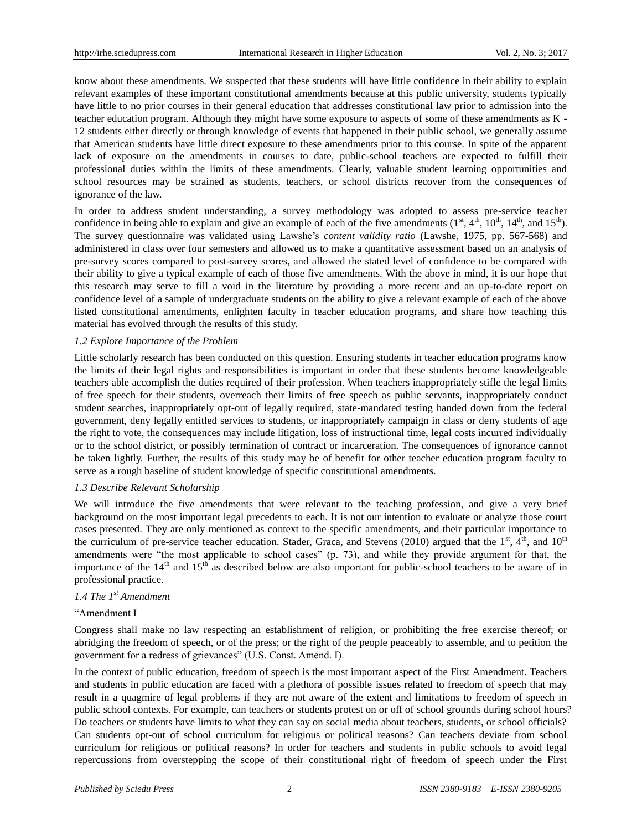know about these amendments. We suspected that these students will have little confidence in their ability to explain relevant examples of these important constitutional amendments because at this public university, students typically have little to no prior courses in their general education that addresses constitutional law prior to admission into the teacher education program. Although they might have some exposure to aspects of some of these amendments as K - 12 students either directly or through knowledge of events that happened in their public school, we generally assume that American students have little direct exposure to these amendments prior to this course. In spite of the apparent lack of exposure on the amendments in courses to date, public-school teachers are expected to fulfill their professional duties within the limits of these amendments. Clearly, valuable student learning opportunities and school resources may be strained as students, teachers, or school districts recover from the consequences of ignorance of the law.

In order to address student understanding, a survey methodology was adopted to assess pre-service teacher confidence in being able to explain and give an example of each of the five amendments ( $1^{st}$ ,  $4^{th}$ ,  $10^{th}$ ,  $14^{th}$ , and  $15^{th}$ ). The survey questionnaire was validated using Lawshe's *content validity ratio* (Lawshe, 1975, pp. 567-568) and administered in class over four semesters and allowed us to make a quantitative assessment based on an analysis of pre-survey scores compared to post-survey scores, and allowed the stated level of confidence to be compared with their ability to give a typical example of each of those five amendments. With the above in mind, it is our hope that this research may serve to fill a void in the literature by providing a more recent and an up-to-date report on confidence level of a sample of undergraduate students on the ability to give a relevant example of each of the above listed constitutional amendments, enlighten faculty in teacher education programs, and share how teaching this material has evolved through the results of this study.

#### *1.2 Explore Importance of the Problem*

Little scholarly research has been conducted on this question. Ensuring students in teacher education programs know the limits of their legal rights and responsibilities is important in order that these students become knowledgeable teachers able accomplish the duties required of their profession. When teachers inappropriately stifle the legal limits of free speech for their students, overreach their limits of free speech as public servants, inappropriately conduct student searches, inappropriately opt-out of legally required, state-mandated testing handed down from the federal government, deny legally entitled services to students, or inappropriately campaign in class or deny students of age the right to vote, the consequences may include litigation, loss of instructional time, legal costs incurred individually or to the school district, or possibly termination of contract or incarceration. The consequences of ignorance cannot be taken lightly. Further, the results of this study may be of benefit for other teacher education program faculty to serve as a rough baseline of student knowledge of specific constitutional amendments.

# *1.3 Describe Relevant Scholarship*

We will introduce the five amendments that were relevant to the teaching profession, and give a very brief background on the most important legal precedents to each. It is not our intention to evaluate or analyze those court cases presented. They are only mentioned as context to the specific amendments, and their particular importance to the curriculum of pre-service teacher education. Stader, Graca, and Stevens (2010) argued that the  $1<sup>st</sup>$ ,  $4<sup>th</sup>$ , and  $10<sup>th</sup>$ amendments were "the most applicable to school cases" (p. 73), and while they provide argument for that, the importance of the  $14<sup>th</sup>$  and  $15<sup>th</sup>$  as described below are also important for public-school teachers to be aware of in professional practice.

# *1.4 The 1 st Amendment*

#### "Amendment I

Congress shall make no law respecting an establishment of religion, or prohibiting the free exercise thereof; or abridging the freedom of speech, or of the press; or the right of the people peaceably to assemble, and to petition the government for a redress of grievances" (U.S. Const. Amend. I).

In the context of public education, freedom of speech is the most important aspect of the First Amendment. Teachers and students in public education are faced with a plethora of possible issues related to freedom of speech that may result in a quagmire of legal problems if they are not aware of the extent and limitations to freedom of speech in public school contexts. For example, can teachers or students protest on or off of school grounds during school hours? Do teachers or students have limits to what they can say on social media about teachers, students, or school officials? Can students opt-out of school curriculum for religious or political reasons? Can teachers deviate from school curriculum for religious or political reasons? In order for teachers and students in public schools to avoid legal repercussions from overstepping the scope of their constitutional right of freedom of speech under the First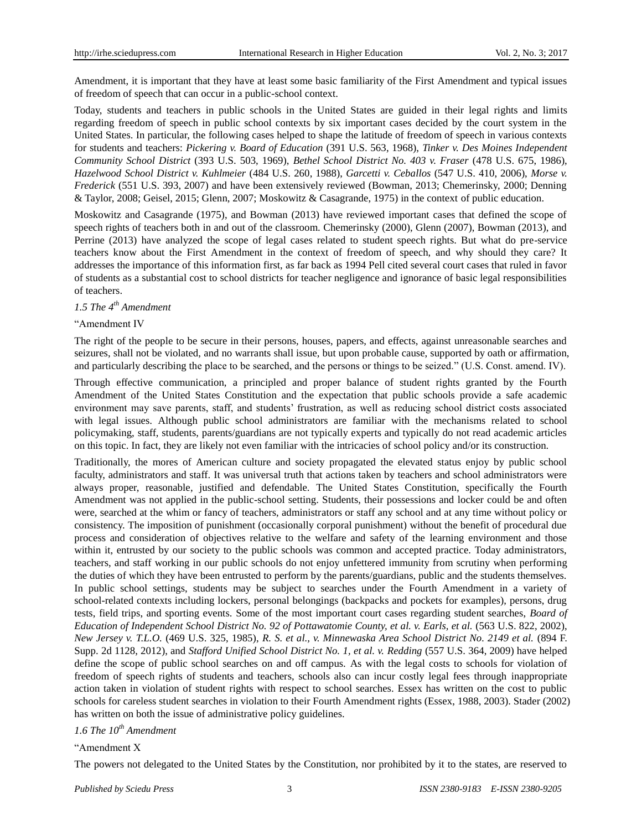Amendment, it is important that they have at least some basic familiarity of the First Amendment and typical issues of freedom of speech that can occur in a public-school context.

Today, students and teachers in public schools in the United States are guided in their legal rights and limits regarding freedom of speech in public school contexts by six important cases decided by the court system in the United States. In particular, the following cases helped to shape the latitude of freedom of speech in various contexts for students and teachers: *Pickering v. Board of Education* (391 U.S. 563, 1968), *Tinker v. Des Moines Independent Community School District* (393 U.S. 503, 1969), *Bethel School District No. 403 v. Fraser* (478 U.S. 675, 1986), *Hazelwood School District v. Kuhlmeier* (484 U.S. 260, 1988), *Garcetti v. Ceballos* (547 U.S. 410, 2006), *Morse v. Frederick* (551 U.S. 393, 2007) and have been extensively reviewed (Bowman, 2013; Chemerinsky, 2000; Denning & Taylor, 2008; Geisel, 2015; Glenn, 2007; Moskowitz & Casagrande, 1975) in the context of public education.

Moskowitz and Casagrande (1975), and Bowman (2013) have reviewed important cases that defined the scope of speech rights of teachers both in and out of the classroom. Chemerinsky (2000), Glenn (2007), Bowman (2013), and Perrine (2013) have analyzed the scope of legal cases related to student speech rights. But what do pre-service teachers know about the First Amendment in the context of freedom of speech, and why should they care? It addresses the importance of this information first, as far back as 1994 Pell cited several court cases that ruled in favor of students as a substantial cost to school districts for teacher negligence and ignorance of basic legal responsibilities of teachers.

# *1.5 The 4th Amendment*

#### "Amendment IV

The right of the people to be secure in their persons, houses, papers, and effects, against unreasonable searches and seizures, shall not be violated, and no warrants shall issue, but upon probable cause, supported by oath or affirmation, and particularly describing the place to be searched, and the persons or things to be seized." (U.S. Const. amend. IV).

Through effective communication, a principled and proper balance of student rights granted by the Fourth Amendment of the United States Constitution and the expectation that public schools provide a safe academic environment may save parents, staff, and students' frustration, as well as reducing school district costs associated with legal issues. Although public school administrators are familiar with the mechanisms related to school policymaking, staff, students, parents/guardians are not typically experts and typically do not read academic articles on this topic. In fact, they are likely not even familiar with the intricacies of school policy and/or its construction.

Traditionally, the mores of American culture and society propagated the elevated status enjoy by public school faculty, administrators and staff. It was universal truth that actions taken by teachers and school administrators were always proper, reasonable, justified and defendable. The United States Constitution, specifically the Fourth Amendment was not applied in the public-school setting. Students, their possessions and locker could be and often were, searched at the whim or fancy of teachers, administrators or staff any school and at any time without policy or consistency. The imposition of punishment (occasionally corporal punishment) without the benefit of procedural due process and consideration of objectives relative to the welfare and safety of the learning environment and those within it, entrusted by our society to the public schools was common and accepted practice. Today administrators, teachers, and staff working in our public schools do not enjoy unfettered immunity from scrutiny when performing the duties of which they have been entrusted to perform by the parents/guardians, public and the students themselves. In public school settings, students may be subject to searches under the Fourth Amendment in a variety of school-related contexts including lockers, personal belongings (backpacks and pockets for examples), persons, drug tests, field trips, and sporting events. Some of the most important court cases regarding student searches, *Board of Education of Independent School District No. 92 of Pottawatomie County, et al. v. Earls, et al.* (563 U.S. 822, 2002), *New Jersey v. T.L.O.* (469 U.S. 325, 1985), *R. S. et al., v. Minnewaska Area School District No. 2149 et al.* (894 F. Supp. 2d 1128, 2012), and *Stafford Unified School District No. 1, et al. v. Redding* (557 U.S. 364, 2009) have helped define the scope of public school searches on and off campus. As with the legal costs to schools for violation of freedom of speech rights of students and teachers, schools also can incur costly legal fees through inappropriate action taken in violation of student rights with respect to school searches. Essex has written on the cost to public schools for careless student searches in violation to their Fourth Amendment rights (Essex, 1988, 2003). Stader (2002) has written on both the issue of administrative policy guidelines.

# *1.6 The 10th Amendment*

#### "Amendment X

The powers not delegated to the United States by the Constitution, nor prohibited by it to the states, are reserved to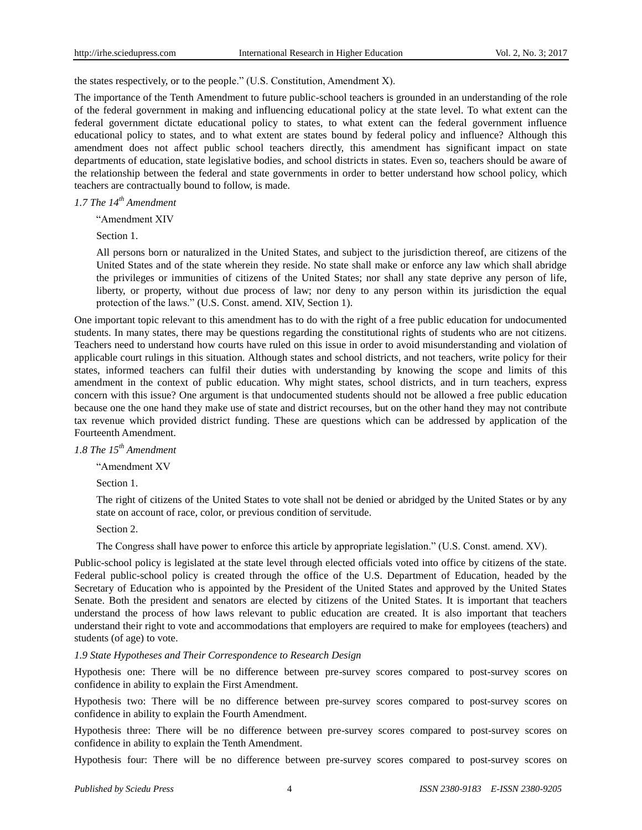the states respectively, or to the people." (U.S. Constitution, Amendment X).

The importance of the Tenth Amendment to future public-school teachers is grounded in an understanding of the role of the federal government in making and influencing educational policy at the state level. To what extent can the federal government dictate educational policy to states, to what extent can the federal government influence educational policy to states, and to what extent are states bound by federal policy and influence? Although this amendment does not affect public school teachers directly, this amendment has significant impact on state departments of education, state legislative bodies, and school districts in states. Even so, teachers should be aware of the relationship between the federal and state governments in order to better understand how school policy, which teachers are contractually bound to follow, is made.

*1.7 The 14th Amendment*

"Amendment XIV

Section 1.

All persons born or naturalized in the United States, and subject to the jurisdiction thereof, are citizens of the United States and of the state wherein they reside. No state shall make or enforce any law which shall abridge the privileges or immunities of citizens of the United States; nor shall any state deprive any person of life, liberty, or property, without due process of law; nor deny to any person within its jurisdiction the equal protection of the laws." (U.S. Const. amend. XIV, Section 1).

One important topic relevant to this amendment has to do with the right of a free public education for undocumented students. In many states, there may be questions regarding the constitutional rights of students who are not citizens. Teachers need to understand how courts have ruled on this issue in order to avoid misunderstanding and violation of applicable court rulings in this situation. Although states and school districts, and not teachers, write policy for their states, informed teachers can fulfil their duties with understanding by knowing the scope and limits of this amendment in the context of public education. Why might states, school districts, and in turn teachers, express concern with this issue? One argument is that undocumented students should not be allowed a free public education because one the one hand they make use of state and district recourses, but on the other hand they may not contribute tax revenue which provided district funding. These are questions which can be addressed by application of the Fourteenth Amendment.

*1.8 The 15th Amendment*

"Amendment XV

Section 1.

The right of citizens of the United States to vote shall not be denied or abridged by the United States or by any state on account of race, color, or previous condition of servitude.

Section 2.

The Congress shall have power to enforce this article by appropriate legislation." (U.S. Const. amend. XV).

Public-school policy is legislated at the state level through elected officials voted into office by citizens of the state. Federal public-school policy is created through the office of the U.S. Department of Education, headed by the Secretary of Education who is appointed by the President of the United States and approved by the United States Senate. Both the president and senators are elected by citizens of the United States. It is important that teachers understand the process of how laws relevant to public education are created. It is also important that teachers understand their right to vote and accommodations that employers are required to make for employees (teachers) and students (of age) to vote.

*1.9 State Hypotheses and Their Correspondence to Research Design*

Hypothesis one: There will be no difference between pre-survey scores compared to post-survey scores on confidence in ability to explain the First Amendment.

Hypothesis two: There will be no difference between pre-survey scores compared to post-survey scores on confidence in ability to explain the Fourth Amendment.

Hypothesis three: There will be no difference between pre-survey scores compared to post-survey scores on confidence in ability to explain the Tenth Amendment.

Hypothesis four: There will be no difference between pre-survey scores compared to post-survey scores on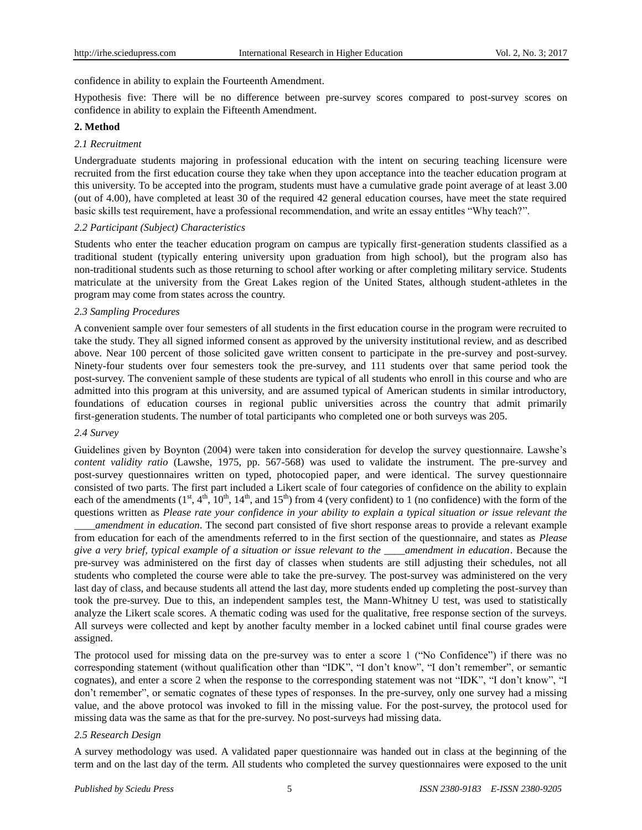confidence in ability to explain the Fourteenth Amendment.

Hypothesis five: There will be no difference between pre-survey scores compared to post-survey scores on confidence in ability to explain the Fifteenth Amendment.

# **2. Method**

# *2.1 Recruitment*

Undergraduate students majoring in professional education with the intent on securing teaching licensure were recruited from the first education course they take when they upon acceptance into the teacher education program at this university. To be accepted into the program, students must have a cumulative grade point average of at least 3.00 (out of 4.00), have completed at least 30 of the required 42 general education courses, have meet the state required basic skills test requirement, have a professional recommendation, and write an essay entitles "Why teach?".

# *2.2 Participant (Subject) Characteristics*

Students who enter the teacher education program on campus are typically first-generation students classified as a traditional student (typically entering university upon graduation from high school), but the program also has non-traditional students such as those returning to school after working or after completing military service. Students matriculate at the university from the Great Lakes region of the United States, although student-athletes in the program may come from states across the country.

#### *2.3 Sampling Procedures*

A convenient sample over four semesters of all students in the first education course in the program were recruited to take the study. They all signed informed consent as approved by the university institutional review, and as described above. Near 100 percent of those solicited gave written consent to participate in the pre-survey and post-survey. Ninety-four students over four semesters took the pre-survey, and 111 students over that same period took the post-survey. The convenient sample of these students are typical of all students who enroll in this course and who are admitted into this program at this university, and are assumed typical of American students in similar introductory, foundations of education courses in regional public universities across the country that admit primarily first-generation students. The number of total participants who completed one or both surveys was 205.

#### *2.4 Survey*

Guidelines given by Boynton (2004) were taken into consideration for develop the survey questionnaire. Lawshe's *content validity ratio* (Lawshe, 1975, pp. 567-568) was used to validate the instrument. The pre-survey and post-survey questionnaires written on typed, photocopied paper, and were identical. The survey questionnaire consisted of two parts. The first part included a Likert scale of four categories of confidence on the ability to explain each of the amendments  $(1^{st}, 4^{th}, 10^{th}, 14^{th},$  and  $15^{th}$ ) from 4 (very confident) to 1 (no confidence) with the form of the questions written as *Please rate your confidence in your ability to explain a typical situation or issue relevant the \_\_\_\_amendment in education*. The second part consisted of five short response areas to provide a relevant example from education for each of the amendments referred to in the first section of the questionnaire, and states as *Please give a very brief, typical example of a situation or issue relevant to the \_\_\_\_amendment in education*. Because the pre-survey was administered on the first day of classes when students are still adjusting their schedules, not all students who completed the course were able to take the pre-survey. The post-survey was administered on the very last day of class, and because students all attend the last day, more students ended up completing the post-survey than took the pre-survey. Due to this, an independent samples test, the Mann-Whitney U test, was used to statistically analyze the Likert scale scores. A thematic coding was used for the qualitative, free response section of the surveys. All surveys were collected and kept by another faculty member in a locked cabinet until final course grades were assigned.

The protocol used for missing data on the pre-survey was to enter a score 1 ("No Confidence") if there was no corresponding statement (without qualification other than "IDK", "I don't know", "I don't remember", or semantic cognates), and enter a score 2 when the response to the corresponding statement was not "IDK", "I don't know", "I don't remember", or sematic cognates of these types of responses. In the pre-survey, only one survey had a missing value, and the above protocol was invoked to fill in the missing value. For the post-survey, the protocol used for missing data was the same as that for the pre-survey. No post-surveys had missing data.

#### *2.5 Research Design*

A survey methodology was used. A validated paper questionnaire was handed out in class at the beginning of the term and on the last day of the term. All students who completed the survey questionnaires were exposed to the unit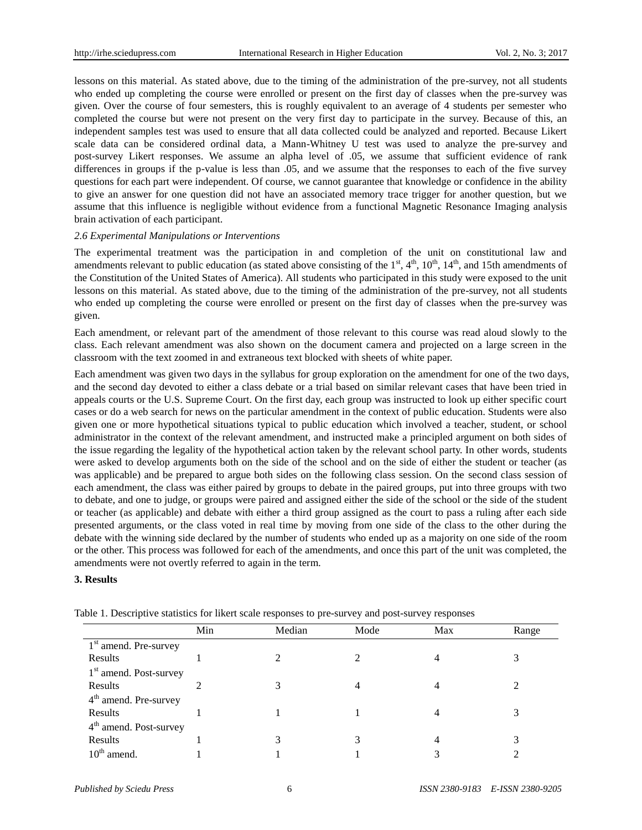lessons on this material. As stated above, due to the timing of the administration of the pre-survey, not all students who ended up completing the course were enrolled or present on the first day of classes when the pre-survey was given. Over the course of four semesters, this is roughly equivalent to an average of 4 students per semester who completed the course but were not present on the very first day to participate in the survey. Because of this, an independent samples test was used to ensure that all data collected could be analyzed and reported. Because Likert scale data can be considered ordinal data, a Mann-Whitney U test was used to analyze the pre-survey and post-survey Likert responses. We assume an alpha level of .05, we assume that sufficient evidence of rank differences in groups if the p-value is less than .05, and we assume that the responses to each of the five survey questions for each part were independent. Of course, we cannot guarantee that knowledge or confidence in the ability to give an answer for one question did not have an associated memory trace trigger for another question, but we assume that this influence is negligible without evidence from a functional Magnetic Resonance Imaging analysis brain activation of each participant.

#### *2.6 Experimental Manipulations or Interventions*

The experimental treatment was the participation in and completion of the unit on constitutional law and amendments relevant to public education (as stated above consisting of the  $1<sup>st</sup>$ ,  $4<sup>th</sup>$ ,  $10<sup>th</sup>$ ,  $14<sup>th</sup>$ , and 15th amendments of the Constitution of the United States of America). All students who participated in this study were exposed to the unit lessons on this material. As stated above, due to the timing of the administration of the pre-survey, not all students who ended up completing the course were enrolled or present on the first day of classes when the pre-survey was given.

Each amendment, or relevant part of the amendment of those relevant to this course was read aloud slowly to the class. Each relevant amendment was also shown on the document camera and projected on a large screen in the classroom with the text zoomed in and extraneous text blocked with sheets of white paper.

Each amendment was given two days in the syllabus for group exploration on the amendment for one of the two days, and the second day devoted to either a class debate or a trial based on similar relevant cases that have been tried in appeals courts or the U.S. Supreme Court. On the first day, each group was instructed to look up either specific court cases or do a web search for news on the particular amendment in the context of public education. Students were also given one or more hypothetical situations typical to public education which involved a teacher, student, or school administrator in the context of the relevant amendment, and instructed make a principled argument on both sides of the issue regarding the legality of the hypothetical action taken by the relevant school party. In other words, students were asked to develop arguments both on the side of the school and on the side of either the student or teacher (as was applicable) and be prepared to argue both sides on the following class session. On the second class session of each amendment, the class was either paired by groups to debate in the paired groups, put into three groups with two to debate, and one to judge, or groups were paired and assigned either the side of the school or the side of the student or teacher (as applicable) and debate with either a third group assigned as the court to pass a ruling after each side presented arguments, or the class voted in real time by moving from one side of the class to the other during the debate with the winning side declared by the number of students who ended up as a majority on one side of the room or the other. This process was followed for each of the amendments, and once this part of the unit was completed, the amendments were not overtly referred to again in the term.

## **3. Results**

|                                    | Min | Median | Mode | Max | Range |
|------------------------------------|-----|--------|------|-----|-------|
| $1st$ amend. Pre-survey            |     |        |      |     |       |
| Results                            |     |        |      |     |       |
| 1 <sup>st</sup> amend. Post-survey |     |        |      |     |       |
| Results                            |     |        |      |     |       |
| 4 <sup>th</sup> amend. Pre-survey  |     |        |      |     |       |
| Results                            |     |        |      | 4   |       |
| 4 <sup>th</sup> amend. Post-survey |     |        |      |     |       |
| Results                            |     |        |      | 4   |       |
| $10th$ amend.                      |     |        |      |     |       |

Table 1. Descriptive statistics for likert scale responses to pre-survey and post-survey responses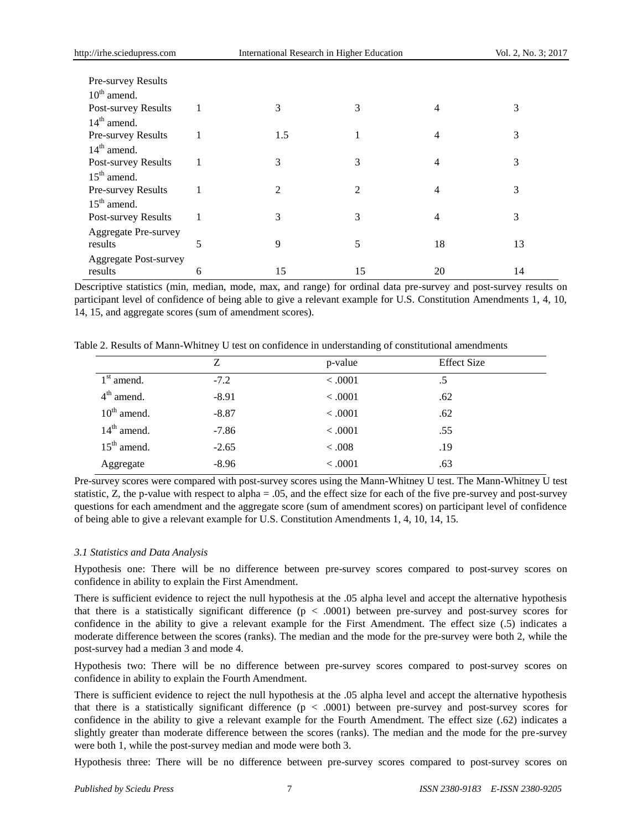| Pre-survey Results    |   |     |                |    |    |
|-----------------------|---|-----|----------------|----|----|
| $10th$ amend.         |   |     |                |    |    |
| Post-survey Results   |   | 3   | 3              | 4  | 3  |
| $14th$ amend.         |   |     |                |    |    |
| Pre-survey Results    |   | 1.5 |                | 4  | 3  |
| $14th$ amend.         |   |     |                |    |    |
| Post-survey Results   |   | 3   | 3              | 4  | 3  |
| $15th$ amend.         |   |     |                |    |    |
| Pre-survey Results    |   | 2   | $\overline{2}$ | 4  | 3  |
| $15th$ amend.         |   |     |                |    |    |
| Post-survey Results   |   | 3   | 3              | 4  | 3  |
| Aggregate Pre-survey  |   |     |                |    |    |
| results               | 5 | 9   | 5              | 18 | 13 |
| Aggregate Post-survey |   |     |                |    |    |
| results               | 6 | 15  | 15             | 20 | 14 |

Descriptive statistics (min, median, mode, max, and range) for ordinal data pre-survey and post-survey results on participant level of confidence of being able to give a relevant example for U.S. Constitution Amendments 1, 4, 10, 14, 15, and aggregate scores (sum of amendment scores).

Table 2. Results of Mann-Whitney U test on confidence in understanding of constitutional amendments

|               | Ζ       | p-value | <b>Effect Size</b> |
|---------------|---------|---------|--------------------|
| $1st$ amend.  | $-7.2$  | < .0001 | .5                 |
| $4th$ amend.  | $-8.91$ | < .0001 | .62                |
| $10th$ amend. | $-8.87$ | < .0001 | .62                |
| $14th$ amend. | $-7.86$ | < .0001 | .55                |
| $15th$ amend. | $-2.65$ | 0.008   | .19                |
| Aggregate     | $-8.96$ | < .0001 | .63                |

Pre-survey scores were compared with post-survey scores using the Mann-Whitney U test. The Mann-Whitney U test statistic, Z, the p-value with respect to alpha = .05, and the effect size for each of the five pre-survey and post-survey questions for each amendment and the aggregate score (sum of amendment scores) on participant level of confidence of being able to give a relevant example for U.S. Constitution Amendments 1, 4, 10, 14, 15.

#### *3.1 Statistics and Data Analysis*

Hypothesis one: There will be no difference between pre-survey scores compared to post-survey scores on confidence in ability to explain the First Amendment.

There is sufficient evidence to reject the null hypothesis at the .05 alpha level and accept the alternative hypothesis that there is a statistically significant difference  $(p < .0001)$  between pre-survey and post-survey scores for confidence in the ability to give a relevant example for the First Amendment. The effect size (.5) indicates a moderate difference between the scores (ranks). The median and the mode for the pre-survey were both 2, while the post-survey had a median 3 and mode 4.

Hypothesis two: There will be no difference between pre-survey scores compared to post-survey scores on confidence in ability to explain the Fourth Amendment.

There is sufficient evidence to reject the null hypothesis at the .05 alpha level and accept the alternative hypothesis that there is a statistically significant difference  $(p < .0001)$  between pre-survey and post-survey scores for confidence in the ability to give a relevant example for the Fourth Amendment. The effect size (.62) indicates a slightly greater than moderate difference between the scores (ranks). The median and the mode for the pre-survey were both 1, while the post-survey median and mode were both 3.

Hypothesis three: There will be no difference between pre-survey scores compared to post-survey scores on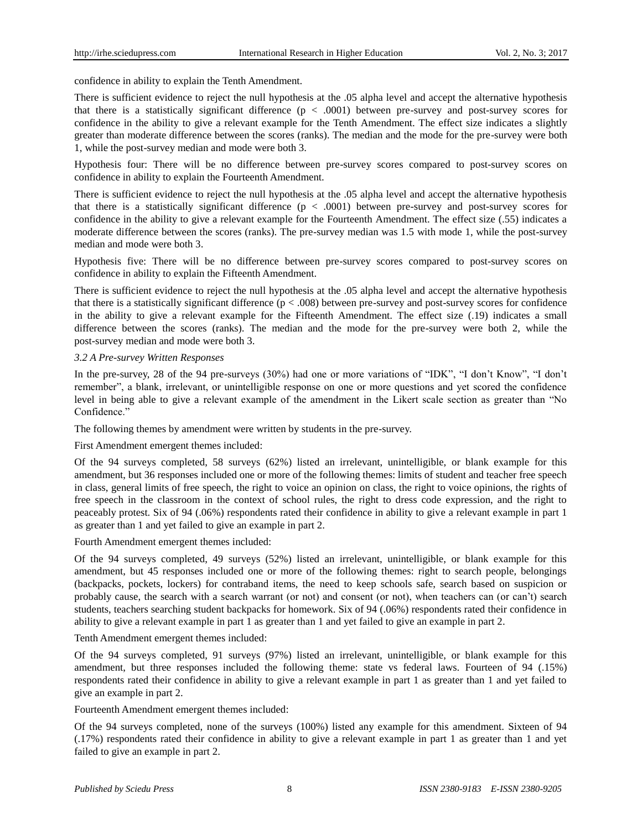confidence in ability to explain the Tenth Amendment.

There is sufficient evidence to reject the null hypothesis at the .05 alpha level and accept the alternative hypothesis that there is a statistically significant difference  $(p < .0001)$  between pre-survey and post-survey scores for confidence in the ability to give a relevant example for the Tenth Amendment. The effect size indicates a slightly greater than moderate difference between the scores (ranks). The median and the mode for the pre-survey were both 1, while the post-survey median and mode were both 3.

Hypothesis four: There will be no difference between pre-survey scores compared to post-survey scores on confidence in ability to explain the Fourteenth Amendment.

There is sufficient evidence to reject the null hypothesis at the .05 alpha level and accept the alternative hypothesis that there is a statistically significant difference  $(p < .0001)$  between pre-survey and post-survey scores for confidence in the ability to give a relevant example for the Fourteenth Amendment. The effect size (.55) indicates a moderate difference between the scores (ranks). The pre-survey median was 1.5 with mode 1, while the post-survey median and mode were both 3.

Hypothesis five: There will be no difference between pre-survey scores compared to post-survey scores on confidence in ability to explain the Fifteenth Amendment.

There is sufficient evidence to reject the null hypothesis at the .05 alpha level and accept the alternative hypothesis that there is a statistically significant difference  $(p < .008)$  between pre-survey and post-survey scores for confidence in the ability to give a relevant example for the Fifteenth Amendment. The effect size (.19) indicates a small difference between the scores (ranks). The median and the mode for the pre-survey were both 2, while the post-survey median and mode were both 3.

# *3.2 A Pre-survey Written Responses*

In the pre-survey, 28 of the 94 pre-surveys (30%) had one or more variations of "IDK", "I don't Know", "I don't remember", a blank, irrelevant, or unintelligible response on one or more questions and yet scored the confidence level in being able to give a relevant example of the amendment in the Likert scale section as greater than "No Confidence."

The following themes by amendment were written by students in the pre-survey.

First Amendment emergent themes included:

Of the 94 surveys completed, 58 surveys (62%) listed an irrelevant, unintelligible, or blank example for this amendment, but 36 responses included one or more of the following themes: limits of student and teacher free speech in class, general limits of free speech, the right to voice an opinion on class, the right to voice opinions, the rights of free speech in the classroom in the context of school rules, the right to dress code expression, and the right to peaceably protest. Six of 94 (.06%) respondents rated their confidence in ability to give a relevant example in part 1 as greater than 1 and yet failed to give an example in part 2.

Fourth Amendment emergent themes included:

Of the 94 surveys completed, 49 surveys (52%) listed an irrelevant, unintelligible, or blank example for this amendment, but 45 responses included one or more of the following themes: right to search people, belongings (backpacks, pockets, lockers) for contraband items, the need to keep schools safe, search based on suspicion or probably cause, the search with a search warrant (or not) and consent (or not), when teachers can (or can't) search students, teachers searching student backpacks for homework. Six of 94 (.06%) respondents rated their confidence in ability to give a relevant example in part 1 as greater than 1 and yet failed to give an example in part 2.

Tenth Amendment emergent themes included:

Of the 94 surveys completed, 91 surveys (97%) listed an irrelevant, unintelligible, or blank example for this amendment, but three responses included the following theme: state vs federal laws. Fourteen of 94 (.15%) respondents rated their confidence in ability to give a relevant example in part 1 as greater than 1 and yet failed to give an example in part 2.

Fourteenth Amendment emergent themes included:

Of the 94 surveys completed, none of the surveys (100%) listed any example for this amendment. Sixteen of 94 (.17%) respondents rated their confidence in ability to give a relevant example in part 1 as greater than 1 and yet failed to give an example in part 2.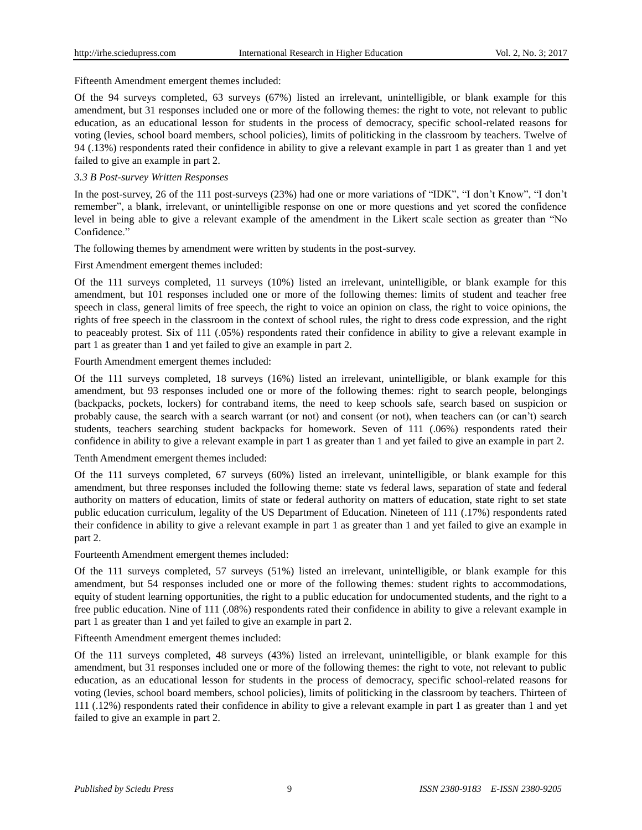#### Fifteenth Amendment emergent themes included:

Of the 94 surveys completed, 63 surveys (67%) listed an irrelevant, unintelligible, or blank example for this amendment, but 31 responses included one or more of the following themes: the right to vote, not relevant to public education, as an educational lesson for students in the process of democracy, specific school-related reasons for voting (levies, school board members, school policies), limits of politicking in the classroom by teachers. Twelve of 94 (.13%) respondents rated their confidence in ability to give a relevant example in part 1 as greater than 1 and yet failed to give an example in part 2.

#### *3.3 B Post-survey Written Responses*

In the post-survey, 26 of the 111 post-surveys (23%) had one or more variations of "IDK", "I don't Know", "I don't remember", a blank, irrelevant, or unintelligible response on one or more questions and yet scored the confidence level in being able to give a relevant example of the amendment in the Likert scale section as greater than "No Confidence."

The following themes by amendment were written by students in the post-survey.

First Amendment emergent themes included:

Of the 111 surveys completed, 11 surveys (10%) listed an irrelevant, unintelligible, or blank example for this amendment, but 101 responses included one or more of the following themes: limits of student and teacher free speech in class, general limits of free speech, the right to voice an opinion on class, the right to voice opinions, the rights of free speech in the classroom in the context of school rules, the right to dress code expression, and the right to peaceably protest. Six of 111 (.05%) respondents rated their confidence in ability to give a relevant example in part 1 as greater than 1 and yet failed to give an example in part 2.

Fourth Amendment emergent themes included:

Of the 111 surveys completed, 18 surveys (16%) listed an irrelevant, unintelligible, or blank example for this amendment, but 93 responses included one or more of the following themes: right to search people, belongings (backpacks, pockets, lockers) for contraband items, the need to keep schools safe, search based on suspicion or probably cause, the search with a search warrant (or not) and consent (or not), when teachers can (or can't) search students, teachers searching student backpacks for homework. Seven of 111 (.06%) respondents rated their confidence in ability to give a relevant example in part 1 as greater than 1 and yet failed to give an example in part 2.

Tenth Amendment emergent themes included:

Of the 111 surveys completed, 67 surveys (60%) listed an irrelevant, unintelligible, or blank example for this amendment, but three responses included the following theme: state vs federal laws, separation of state and federal authority on matters of education, limits of state or federal authority on matters of education, state right to set state public education curriculum, legality of the US Department of Education. Nineteen of 111 (.17%) respondents rated their confidence in ability to give a relevant example in part 1 as greater than 1 and yet failed to give an example in part 2.

Fourteenth Amendment emergent themes included:

Of the 111 surveys completed, 57 surveys (51%) listed an irrelevant, unintelligible, or blank example for this amendment, but 54 responses included one or more of the following themes: student rights to accommodations, equity of student learning opportunities, the right to a public education for undocumented students, and the right to a free public education. Nine of 111 (.08%) respondents rated their confidence in ability to give a relevant example in part 1 as greater than 1 and yet failed to give an example in part 2.

Fifteenth Amendment emergent themes included:

Of the 111 surveys completed, 48 surveys (43%) listed an irrelevant, unintelligible, or blank example for this amendment, but 31 responses included one or more of the following themes: the right to vote, not relevant to public education, as an educational lesson for students in the process of democracy, specific school-related reasons for voting (levies, school board members, school policies), limits of politicking in the classroom by teachers. Thirteen of 111 (.12%) respondents rated their confidence in ability to give a relevant example in part 1 as greater than 1 and yet failed to give an example in part 2.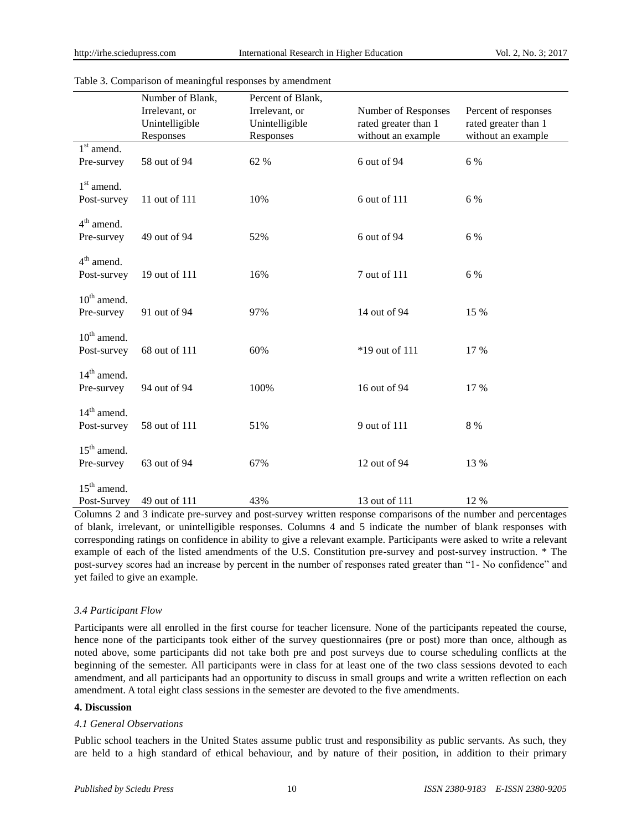|                                | Number of Blank,               | Percent of Blank,                |                               |                      |
|--------------------------------|--------------------------------|----------------------------------|-------------------------------|----------------------|
|                                | Irrelevant, or                 | Irrelevant, or                   | Number of Responses           | Percent of responses |
|                                | Unintelligible                 | Unintelligible                   | rated greater than 1          | rated greater than 1 |
|                                | Responses                      | Responses                        | without an example            | without an example   |
| $1st$ amend.                   |                                |                                  |                               |                      |
| Pre-survey                     | 58 out of 94                   | 62 %                             | 6 out of 94                   | 6 %                  |
|                                |                                |                                  |                               |                      |
| $1st$ amend.                   |                                |                                  |                               |                      |
| Post-survey                    | 11 out of 111                  | 10%                              | 6 out of 111                  | 6 %                  |
|                                |                                |                                  |                               |                      |
| $4th$ amend.                   |                                |                                  |                               |                      |
| Pre-survey                     | 49 out of 94                   | 52%                              | 6 out of 94                   | 6 %                  |
| $4th$ amend.                   |                                |                                  |                               |                      |
| Post-survey                    | 19 out of 111                  | 16%                              | 7 out of 111                  | 6 %                  |
|                                |                                |                                  |                               |                      |
| $10th$ amend.                  |                                |                                  |                               |                      |
| Pre-survey                     | 91 out of 94                   | 97%                              | 14 out of 94                  | 15 %                 |
|                                |                                |                                  |                               |                      |
| $10th$ amend.                  |                                |                                  |                               |                      |
| Post-survey                    | 68 out of 111                  | 60%                              | *19 out of 111                | 17 %                 |
|                                |                                |                                  |                               |                      |
| $14th$ amend.                  |                                |                                  |                               |                      |
| Pre-survey                     | 94 out of 94                   | 100%                             | 16 out of 94                  | 17 %                 |
| $14th$ amend.                  |                                |                                  |                               |                      |
| Post-survey                    | 58 out of 111                  | 51%                              | 9 out of 111                  | 8 %                  |
|                                |                                |                                  |                               |                      |
| $15th$ amend.                  |                                |                                  |                               |                      |
| Pre-survey                     | 63 out of 94                   | 67%                              | 12 out of 94                  | 13 %                 |
|                                |                                |                                  |                               |                      |
| $15th$ amend.                  |                                |                                  |                               |                      |
| Post-Survey<br>$\sim$ 1 $\sim$ | 49 out of 111<br>$1.2 \cdot 1$ | 43%<br>$\ddotsc$<br>$\mathbf{I}$ | 13 out of 111<br>$C_{\ell}$ 1 | 12 %<br>$\mathbf{1}$ |

#### Table 3. Comparison of meaningful responses by amendment

Columns 2 and 3 indicate pre-survey and post-survey written response comparisons of the number and percentages of blank, irrelevant, or unintelligible responses. Columns 4 and 5 indicate the number of blank responses with corresponding ratings on confidence in ability to give a relevant example. Participants were asked to write a relevant example of each of the listed amendments of the U.S. Constitution pre-survey and post-survey instruction. \* The post-survey scores had an increase by percent in the number of responses rated greater than "1- No confidence" and yet failed to give an example.

#### *3.4 Participant Flow*

Participants were all enrolled in the first course for teacher licensure. None of the participants repeated the course, hence none of the participants took either of the survey questionnaires (pre or post) more than once, although as noted above, some participants did not take both pre and post surveys due to course scheduling conflicts at the beginning of the semester. All participants were in class for at least one of the two class sessions devoted to each amendment, and all participants had an opportunity to discuss in small groups and write a written reflection on each amendment. A total eight class sessions in the semester are devoted to the five amendments.

## **4. Discussion**

#### *4.1 General Observations*

Public school teachers in the United States assume public trust and responsibility as public servants. As such, they are held to a high standard of ethical behaviour, and by nature of their position, in addition to their primary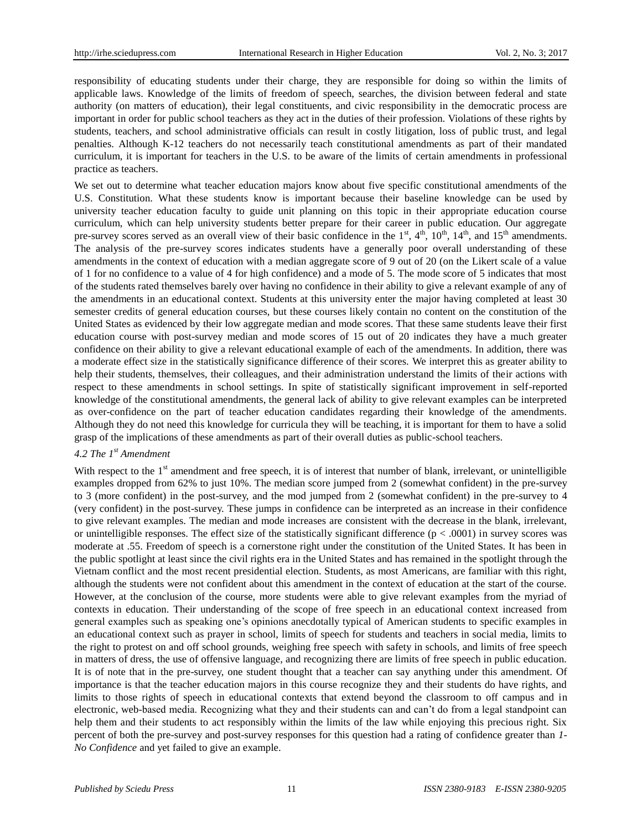responsibility of educating students under their charge, they are responsible for doing so within the limits of applicable laws. Knowledge of the limits of freedom of speech, searches, the division between federal and state authority (on matters of education), their legal constituents, and civic responsibility in the democratic process are important in order for public school teachers as they act in the duties of their profession. Violations of these rights by students, teachers, and school administrative officials can result in costly litigation, loss of public trust, and legal penalties. Although K-12 teachers do not necessarily teach constitutional amendments as part of their mandated curriculum, it is important for teachers in the U.S. to be aware of the limits of certain amendments in professional practice as teachers.

We set out to determine what teacher education majors know about five specific constitutional amendments of the U.S. Constitution. What these students know is important because their baseline knowledge can be used by university teacher education faculty to guide unit planning on this topic in their appropriate education course curriculum, which can help university students better prepare for their career in public education. Our aggregate pre-survey scores served as an overall view of their basic confidence in the  $1<sup>st</sup>$ ,  $4<sup>th</sup>$ ,  $10<sup>th</sup>$ ,  $14<sup>th</sup>$ , and  $15<sup>th</sup>$  amendments. The analysis of the pre-survey scores indicates students have a generally poor overall understanding of these amendments in the context of education with a median aggregate score of 9 out of 20 (on the Likert scale of a value of 1 for no confidence to a value of 4 for high confidence) and a mode of 5. The mode score of 5 indicates that most of the students rated themselves barely over having no confidence in their ability to give a relevant example of any of the amendments in an educational context. Students at this university enter the major having completed at least 30 semester credits of general education courses, but these courses likely contain no content on the constitution of the United States as evidenced by their low aggregate median and mode scores. That these same students leave their first education course with post-survey median and mode scores of 15 out of 20 indicates they have a much greater confidence on their ability to give a relevant educational example of each of the amendments. In addition, there was a moderate effect size in the statistically significance difference of their scores. We interpret this as greater ability to help their students, themselves, their colleagues, and their administration understand the limits of their actions with respect to these amendments in school settings. In spite of statistically significant improvement in self-reported knowledge of the constitutional amendments, the general lack of ability to give relevant examples can be interpreted as over-confidence on the part of teacher education candidates regarding their knowledge of the amendments. Although they do not need this knowledge for curricula they will be teaching, it is important for them to have a solid grasp of the implications of these amendments as part of their overall duties as public-school teachers.

# *4.2 The 1st Amendment*

With respect to the 1<sup>st</sup> amendment and free speech, it is of interest that number of blank, irrelevant, or unintelligible examples dropped from 62% to just 10%. The median score jumped from 2 (somewhat confident) in the pre-survey to 3 (more confident) in the post-survey, and the mod jumped from 2 (somewhat confident) in the pre-survey to 4 (very confident) in the post-survey. These jumps in confidence can be interpreted as an increase in their confidence to give relevant examples. The median and mode increases are consistent with the decrease in the blank, irrelevant, or unintelligible responses. The effect size of the statistically significant difference  $(p < .0001)$  in survey scores was moderate at .55. Freedom of speech is a cornerstone right under the constitution of the United States. It has been in the public spotlight at least since the civil rights era in the United States and has remained in the spotlight through the Vietnam conflict and the most recent presidential election. Students, as most Americans, are familiar with this right, although the students were not confident about this amendment in the context of education at the start of the course. However, at the conclusion of the course, more students were able to give relevant examples from the myriad of contexts in education. Their understanding of the scope of free speech in an educational context increased from general examples such as speaking one's opinions anecdotally typical of American students to specific examples in an educational context such as prayer in school, limits of speech for students and teachers in social media, limits to the right to protest on and off school grounds, weighing free speech with safety in schools, and limits of free speech in matters of dress, the use of offensive language, and recognizing there are limits of free speech in public education. It is of note that in the pre-survey, one student thought that a teacher can say anything under this amendment. Of importance is that the teacher education majors in this course recognize they and their students do have rights, and limits to those rights of speech in educational contexts that extend beyond the classroom to off campus and in electronic, web-based media. Recognizing what they and their students can and can't do from a legal standpoint can help them and their students to act responsibly within the limits of the law while enjoying this precious right. Six percent of both the pre-survey and post-survey responses for this question had a rating of confidence greater than *1- No Confidence* and yet failed to give an example.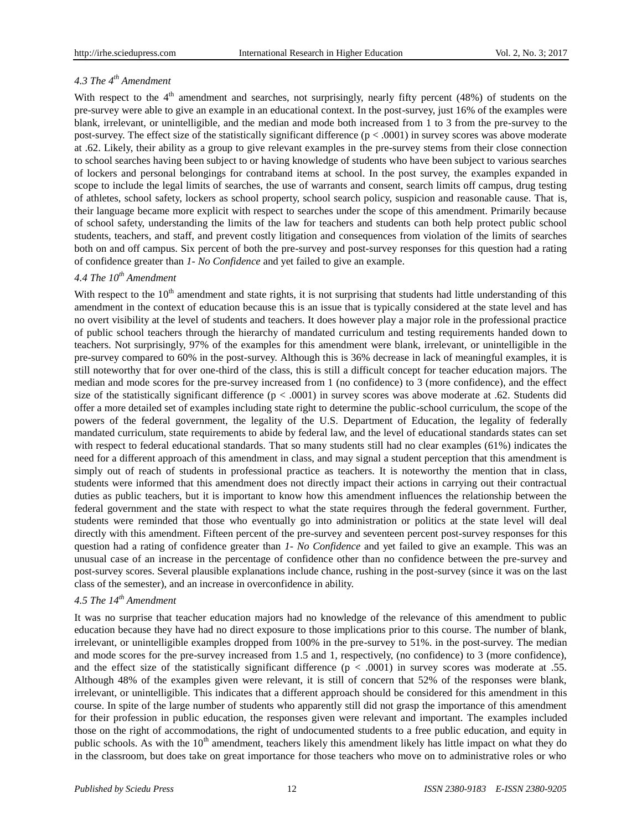# *4.3 The 4th Amendment*

With respect to the  $4<sup>th</sup>$  amendment and searches, not surprisingly, nearly fifty percent (48%) of students on the pre-survey were able to give an example in an educational context. In the post-survey, just 16% of the examples were blank, irrelevant, or unintelligible, and the median and mode both increased from 1 to 3 from the pre-survey to the post-survey. The effect size of the statistically significant difference  $(p < .0001)$  in survey scores was above moderate at .62. Likely, their ability as a group to give relevant examples in the pre-survey stems from their close connection to school searches having been subject to or having knowledge of students who have been subject to various searches of lockers and personal belongings for contraband items at school. In the post survey, the examples expanded in scope to include the legal limits of searches, the use of warrants and consent, search limits off campus, drug testing of athletes, school safety, lockers as school property, school search policy, suspicion and reasonable cause. That is, their language became more explicit with respect to searches under the scope of this amendment. Primarily because of school safety, understanding the limits of the law for teachers and students can both help protect public school students, teachers, and staff, and prevent costly litigation and consequences from violation of the limits of searches both on and off campus. Six percent of both the pre-survey and post-survey responses for this question had a rating of confidence greater than *1- No Confidence* and yet failed to give an example.

# *4.4 The 10th Amendment*

With respect to the  $10<sup>th</sup>$  amendment and state rights, it is not surprising that students had little understanding of this amendment in the context of education because this is an issue that is typically considered at the state level and has no overt visibility at the level of students and teachers. It does however play a major role in the professional practice of public school teachers through the hierarchy of mandated curriculum and testing requirements handed down to teachers. Not surprisingly, 97% of the examples for this amendment were blank, irrelevant, or unintelligible in the pre-survey compared to 60% in the post-survey. Although this is 36% decrease in lack of meaningful examples, it is still noteworthy that for over one-third of the class, this is still a difficult concept for teacher education majors. The median and mode scores for the pre-survey increased from 1 (no confidence) to 3 (more confidence), and the effect size of the statistically significant difference  $(p < .0001)$  in survey scores was above moderate at .62. Students did offer a more detailed set of examples including state right to determine the public-school curriculum, the scope of the powers of the federal government, the legality of the U.S. Department of Education, the legality of federally mandated curriculum, state requirements to abide by federal law, and the level of educational standards states can set with respect to federal educational standards. That so many students still had no clear examples (61%) indicates the need for a different approach of this amendment in class, and may signal a student perception that this amendment is simply out of reach of students in professional practice as teachers. It is noteworthy the mention that in class, students were informed that this amendment does not directly impact their actions in carrying out their contractual duties as public teachers, but it is important to know how this amendment influences the relationship between the federal government and the state with respect to what the state requires through the federal government. Further, students were reminded that those who eventually go into administration or politics at the state level will deal directly with this amendment. Fifteen percent of the pre-survey and seventeen percent post-survey responses for this question had a rating of confidence greater than *1- No Confidence* and yet failed to give an example. This was an unusual case of an increase in the percentage of confidence other than no confidence between the pre-survey and post-survey scores. Several plausible explanations include chance, rushing in the post-survey (since it was on the last class of the semester), and an increase in overconfidence in ability.

# *4.5 The 14th Amendment*

It was no surprise that teacher education majors had no knowledge of the relevance of this amendment to public education because they have had no direct exposure to those implications prior to this course. The number of blank, irrelevant, or unintelligible examples dropped from 100% in the pre-survey to 51%. in the post-survey. The median and mode scores for the pre-survey increased from 1.5 and 1, respectively, (no confidence) to 3 (more confidence), and the effect size of the statistically significant difference  $(p < .0001)$  in survey scores was moderate at .55. Although 48% of the examples given were relevant, it is still of concern that 52% of the responses were blank, irrelevant, or unintelligible. This indicates that a different approach should be considered for this amendment in this course. In spite of the large number of students who apparently still did not grasp the importance of this amendment for their profession in public education, the responses given were relevant and important. The examples included those on the right of accommodations, the right of undocumented students to a free public education, and equity in public schools. As with the  $10<sup>th</sup>$  amendment, teachers likely this amendment likely has little impact on what they do in the classroom, but does take on great importance for those teachers who move on to administrative roles or who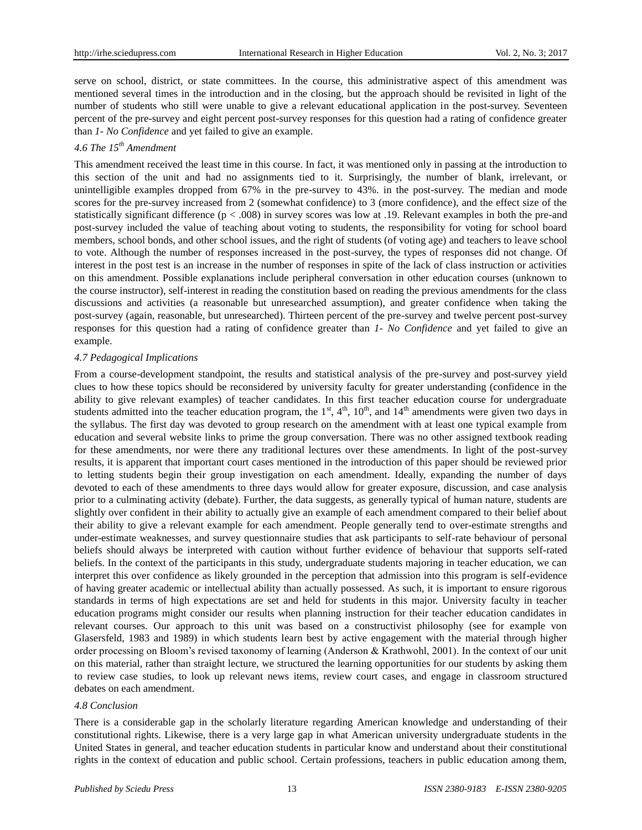serve on school, district, or state committees. In the course, this administrative aspect of this amendment was mentioned several times in the introduction and in the closing, but the approach should be revisited in light of the number of students who still were unable to give a relevant educational application in the post-survey. Seventeen percent of the pre-survey and eight percent post-survey responses for this question had a rating of confidence greater than *1- No Confidence* and yet failed to give an example.

# *4.6 The 15th Amendment*

This amendment received the least time in this course. In fact, it was mentioned only in passing at the introduction to this section of the unit and had no assignments tied to it. Surprisingly, the number of blank, irrelevant, or unintelligible examples dropped from 67% in the pre-survey to 43%. in the post-survey. The median and mode scores for the pre-survey increased from 2 (somewhat confidence) to 3 (more confidence), and the effect size of the statistically significant difference ( $p < .008$ ) in survey scores was low at .19. Relevant examples in both the pre-and post-survey included the value of teaching about voting to students, the responsibility for voting for school board members, school bonds, and other school issues, and the right of students (of voting age) and teachers to leave school to vote. Although the number of responses increased in the post-survey, the types of responses did not change. Of interest in the post test is an increase in the number of responses in spite of the lack of class instruction or activities on this amendment. Possible explanations include peripheral conversation in other education courses (unknown to the course instructor), self-interest in reading the constitution based on reading the previous amendments for the class discussions and activities (a reasonable but unresearched assumption), and greater confidence when taking the post-survey (again, reasonable, but unresearched). Thirteen percent of the pre-survey and twelve percent post-survey responses for this question had a rating of confidence greater than *1- No Confidence* and yet failed to give an example.

#### *4.7 Pedagogical Implications*

From a course-development standpoint, the results and statistical analysis of the pre-survey and post-survey yield clues to how these topics should be reconsidered by university faculty for greater understanding (confidence in the ability to give relevant examples) of teacher candidates. In this first teacher education course for undergraduate students admitted into the teacher education program, the  $1<sup>st</sup>$ ,  $4<sup>th</sup>$ ,  $10<sup>th</sup>$ , and  $14<sup>th</sup>$  amendments were given two days in the syllabus. The first day was devoted to group research on the amendment with at least one typical example from education and several website links to prime the group conversation. There was no other assigned textbook reading for these amendments, nor were there any traditional lectures over these amendments. In light of the post-survey results, it is apparent that important court cases mentioned in the introduction of this paper should be reviewed prior to letting students begin their group investigation on each amendment. Ideally, expanding the number of days devoted to each of these amendments to three days would allow for greater exposure, discussion, and case analysis prior to a culminating activity (debate). Further, the data suggests, as generally typical of human nature, students are slightly over confident in their ability to actually give an example of each amendment compared to their belief about their ability to give a relevant example for each amendment. People generally tend to over-estimate strengths and under-estimate weaknesses, and survey questionnaire studies that ask participants to self-rate behaviour of personal beliefs should always be interpreted with caution without further evidence of behaviour that supports self-rated beliefs. In the context of the participants in this study, undergraduate students majoring in teacher education, we can interpret this over confidence as likely grounded in the perception that admission into this program is self-evidence of having greater academic or intellectual ability than actually possessed. As such, it is important to ensure rigorous standards in terms of high expectations are set and held for students in this major. University faculty in teacher education programs might consider our results when planning instruction for their teacher education candidates in relevant courses. Our approach to this unit was based on a constructivist philosophy (see for example von Glasersfeld, 1983 and 1989) in which students learn best by active engagement with the material through higher order processing on Bloom's revised taxonomy of learning (Anderson & Krathwohl, 2001). In the context of our unit on this material, rather than straight lecture, we structured the learning opportunities for our students by asking them to review case studies, to look up relevant news items, review court cases, and engage in classroom structured debates on each amendment.

#### *4.8 Conclusion*

There is a considerable gap in the scholarly literature regarding American knowledge and understanding of their constitutional rights. Likewise, there is a very large gap in what American university undergraduate students in the United States in general, and teacher education students in particular know and understand about their constitutional rights in the context of education and public school. Certain professions, teachers in public education among them,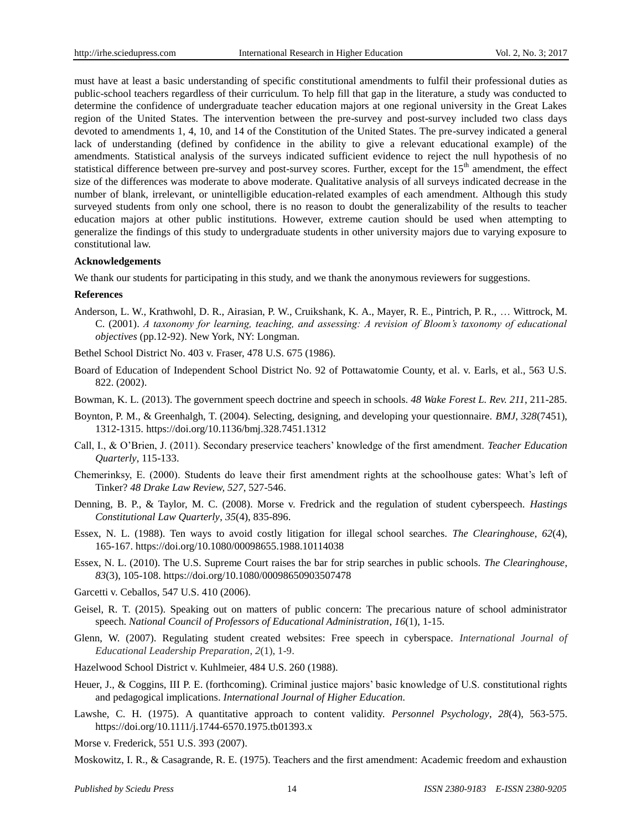must have at least a basic understanding of specific constitutional amendments to fulfil their professional duties as public-school teachers regardless of their curriculum. To help fill that gap in the literature, a study was conducted to determine the confidence of undergraduate teacher education majors at one regional university in the Great Lakes region of the United States. The intervention between the pre-survey and post-survey included two class days devoted to amendments 1, 4, 10, and 14 of the Constitution of the United States. The pre-survey indicated a general lack of understanding (defined by confidence in the ability to give a relevant educational example) of the amendments. Statistical analysis of the surveys indicated sufficient evidence to reject the null hypothesis of no statistical difference between pre-survey and post-survey scores. Further, except for the  $15<sup>th</sup>$  amendment, the effect size of the differences was moderate to above moderate. Qualitative analysis of all surveys indicated decrease in the number of blank, irrelevant, or unintelligible education-related examples of each amendment. Although this study surveyed students from only one school, there is no reason to doubt the generalizability of the results to teacher education majors at other public institutions. However, extreme caution should be used when attempting to generalize the findings of this study to undergraduate students in other university majors due to varying exposure to constitutional law.

#### **Acknowledgements**

We thank our students for participating in this study, and we thank the anonymous reviewers for suggestions.

#### **References**

- Anderson, L. W., Krathwohl, D. R., Airasian, P. W., Cruikshank, K. A., Mayer, R. E., Pintrich, P. R., … Wittrock, M. C. (2001). *A taxonomy for learning, teaching, and assessing: A revision of Bloom's taxonomy of educational objectives* (pp.12-92). New York, NY: Longman.
- Bethel School District No. 403 v. Fraser, 478 U.S. 675 (1986).
- Board of Education of Independent School District No. 92 of Pottawatomie County, et al. v. Earls, et al., 563 U.S. 822. (2002).
- Bowman, K. L. (2013). The government speech doctrine and speech in schools. *48 Wake Forest L. Rev. 211*, 211-285.
- Boynton, P. M., & Greenhalgh, T. (2004). Selecting, designing, and developing your questionnaire. *BMJ*, *328*(7451), 1312-1315. https://doi.org/10.1136/bmj.328.7451.1312
- Call, I., & O'Brien, J. (2011). Secondary preservice teachers' knowledge of the first amendment. *Teacher Education Quarterly*, 115-133.
- Chemerinksy, E. (2000). Students do leave their first amendment rights at the schoolhouse gates: What's left of Tinker? *48 Drake Law Review, 527*, 527-546.
- Denning, B. P., & Taylor, M. C. (2008). Morse v. Fredrick and the regulation of student cyberspeech. *Hastings Constitutional Law Quarterly*, *35*(4), 835-896.
- Essex, N. L. (1988). Ten ways to avoid costly litigation for illegal school searches. *The Clearinghouse*, *62*(4), 165-167. https://doi.org/10.1080/00098655.1988.10114038
- Essex, N. L. (2010). The U.S. Supreme Court raises the bar for strip searches in public schools. *The Clearinghouse*, *83*(3), 105-108. https://doi.org/10.1080/00098650903507478
- Garcetti v. Ceballos, 547 U.S. 410 (2006).
- Geisel, R. T. (2015). Speaking out on matters of public concern: The precarious nature of school administrator speech. *National Council of Professors of Educational Administration*, *16*(1), 1-15.
- Glenn, W. (2007). Regulating student created websites: Free speech in cyberspace*. International Journal of Educational Leadership Preparation*, *2*(1), 1-9.
- Hazelwood School District v. Kuhlmeier, 484 U.S. 260 (1988).
- Heuer, J., & Coggins, III P. E. (forthcoming). Criminal justice majors' basic knowledge of U.S. constitutional rights and pedagogical implications. *International Journal of Higher Education.*
- Lawshe, C. H. (1975). A quantitative approach to content validity. *Personnel Psychology*, *28*(4), 563-575. https://doi.org/10.1111/j.1744-6570.1975.tb01393.x
- Morse v. Frederick, 551 U.S. 393 (2007).

Moskowitz, I. R., & Casagrande, R. E. (1975). Teachers and the first amendment: Academic freedom and exhaustion